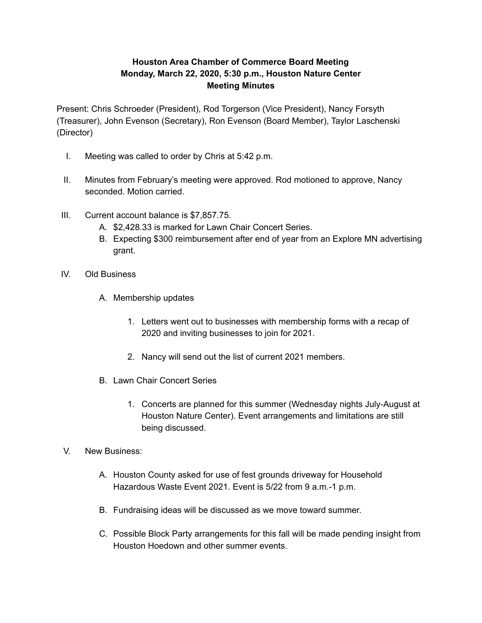## **Houston Area Chamber of Commerce Board Meeting Monday, March 22, 2020, 5:30 p.m., Houston Nature Center Meeting Minutes**

Present: Chris Schroeder (President), Rod Torgerson (Vice President), Nancy Forsyth (Treasurer), John Evenson (Secretary), Ron Evenson (Board Member), Taylor Laschenski (Director)

- I. Meeting was called to order by Chris at 5:42 p.m.
- II. Minutes from February's meeting were approved. Rod motioned to approve, Nancy seconded. Motion carried.
- III. Current account balance is \$7,857.75.
	- A. \$2,428.33 is marked for Lawn Chair Concert Series.
	- B. Expecting \$300 reimbursement after end of year from an Explore MN advertising grant.
- IV. Old Business
	- A. Membership updates
		- 1. Letters went out to businesses with membership forms with a recap of 2020 and inviting businesses to join for 2021.
		- 2. Nancy will send out the list of current 2021 members.
	- B. Lawn Chair Concert Series
		- 1. Concerts are planned for this summer (Wednesday nights July-August at Houston Nature Center). Event arrangements and limitations are still being discussed.
- V. New Business:
	- A. Houston County asked for use of fest grounds driveway for Household Hazardous Waste Event 2021. Event is 5/22 from 9 a.m.-1 p.m.
	- B. Fundraising ideas will be discussed as we move toward summer.
	- C. Possible Block Party arrangements for this fall will be made pending insight from Houston Hoedown and other summer events.